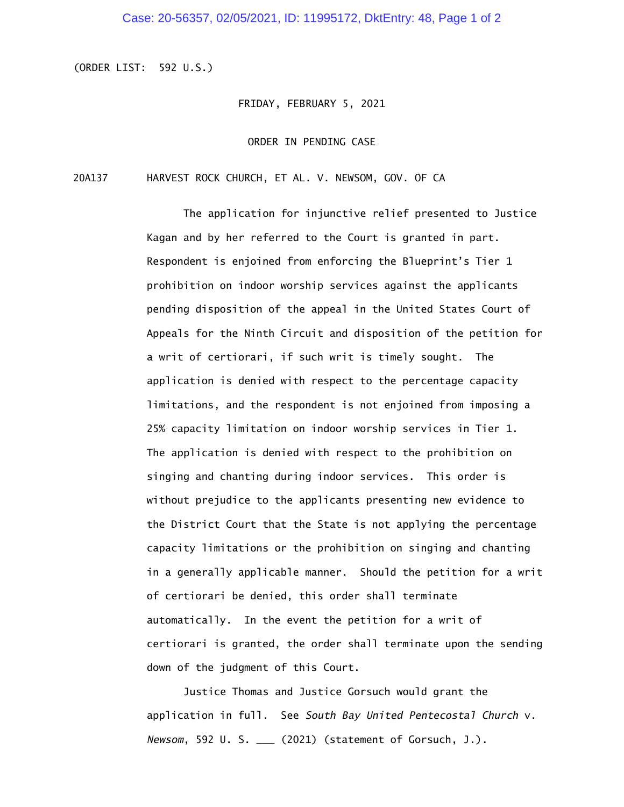## Case: 20-56357, 02/05/2021, ID: 11995172, DktEntry: 48, Page 1 of 2

(ORDER LIST: 592 U.S.)

## FRIDAY, FEBRUARY 5, 2021

## ORDER IN PENDING CASE

20A137 HARVEST ROCK CHURCH, ET AL. V. NEWSOM, GOV. OF CA

The application for injunctive relief presented to Justice Kagan and by her referred to the Court is granted in part. Respondent is enjoined from enforcing the Blueprint's Tier 1 prohibition on indoor worship services against the applicants pending disposition of the appeal in the United States Court of Appeals for the Ninth Circuit and disposition of the petition for a writ of certiorari, if such writ is timely sought. The application is denied with respect to the percentage capacity limitations, and the respondent is not enjoined from imposing a 25% capacity limitation on indoor worship services in Tier 1. The application is denied with respect to the prohibition on singing and chanting during indoor services. This order is without prejudice to the applicants presenting new evidence to the District Court that the State is not applying the percentage capacity limitations or the prohibition on singing and chanting in a generally applicable manner. Should the petition for a writ of certiorari be denied, this order shall terminate automatically. In the event the petition for a writ of certiorari is granted, the order shall terminate upon the sending down of the judgment of this Court.

Justice Thomas and Justice Gorsuch would grant the application in full. See *South Bay United Pentecostal Church* v. *Newsom*, 592 U. S. \_\_\_ (2021) (statement of Gorsuch, J.).